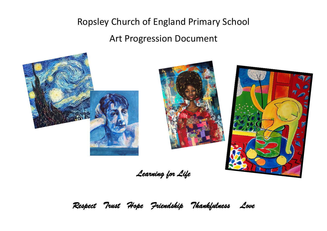# Ropsley Church of England Primary School

Art Progression Document



*Learning for Life* 

*Respect Trust Hope Friendship Thankfulness Love*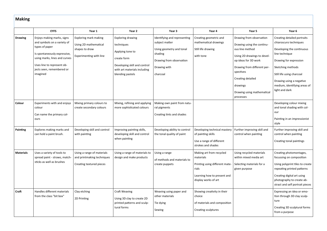| <b>Making</b> |  |
|---------------|--|
|---------------|--|

|                  | <b>EYFS</b>                                                                                                                                                                                                         | Year 1                                                                                                    | Year <sub>2</sub>                                                                                                                                             | Year <sub>3</sub>                                                                                                                             | Year 4                                                                                                                                  | Year 5                                                                                                                                                                                                                                                   | Year <sub>6</sub>                                                                                                                                                                                                                                              |
|------------------|---------------------------------------------------------------------------------------------------------------------------------------------------------------------------------------------------------------------|-----------------------------------------------------------------------------------------------------------|---------------------------------------------------------------------------------------------------------------------------------------------------------------|-----------------------------------------------------------------------------------------------------------------------------------------------|-----------------------------------------------------------------------------------------------------------------------------------------|----------------------------------------------------------------------------------------------------------------------------------------------------------------------------------------------------------------------------------------------------------|----------------------------------------------------------------------------------------------------------------------------------------------------------------------------------------------------------------------------------------------------------------|
| <b>Drawing</b>   | Enjoys making marks, signs<br>and symbols on a variety of<br>types of paper<br>Is spontaneously expressive,<br>using marks, lines and curves<br>Uses line to represent ob-<br>jects seen, remembered or<br>imagined | <b>Exploring mark making</b><br>Using 2D mathematical<br>shapes to draw<br><b>Experimenting with line</b> | <b>Exploring drawing</b><br>techniques<br>Applying tone to<br>create form<br>Developing skill and control<br>with art materials including<br>blending pastels | Identifying and representing<br>subject matter<br>Using geometry and tonal<br>shading<br>Drawing from observation<br>Drawing with<br>charcoal | Creating geometric and<br>mathematical drawings<br>Still life drawing<br>with tone                                                      | Drawing from observation<br>Drawing using the continu-<br>ous line method<br>Using 2D drawings to devel-<br>op ideas for 3D work<br>Drawing from different per-<br>spectives<br>Creating detailed<br>drawings<br>Drawing using mathematical<br>processes | Creating detailed portraits<br>chiaroscuro techniques<br>Developing the continuous<br>line technique<br>Drawing for expression<br>Sketching methods<br>Still life using charcoal<br>Drawing using a negative<br>medium, identifying areas of<br>light and dark |
| Colour           | Experiments with and enjoys<br>colour<br>Can name the primary col-<br>ours                                                                                                                                          | Mixing primary colours to<br>create secondary colours                                                     | Mixing, refining and applying<br>more sophisticated colours                                                                                                   | Making own paint from natu-<br>ral pigments<br>Creating tints and shades                                                                      |                                                                                                                                         |                                                                                                                                                                                                                                                          | Developing colour mixing<br>and tonal shading with col-<br>our<br>Painting in an impressionist<br>style                                                                                                                                                        |
| Painting         | Explores making marks and<br>can hold a paint brush.                                                                                                                                                                | Developing skill and control<br>with painting                                                             | Improving painting skills,<br>developing skill and control<br>when painting                                                                                   | Developing ability to control<br>the tonal quality of paint                                                                                   | Developing technical mastery<br>of painting skills<br>Use a range of different<br>strokes and shades                                    | Further improving skill and<br>control when painting                                                                                                                                                                                                     | Further improving skill and<br>control when painting<br>Creating tonal paintings                                                                                                                                                                               |
| <b>Materials</b> | Uses a variety of tools to<br>spread paint - straws, match-<br>sticks as well as brushes                                                                                                                            | Using a range of materials<br>and printmaking techniques<br>Creating textured pieces                      | Using a range of materials to<br>design and make products                                                                                                     | Using a range<br>of methods and materials to<br>create puppets                                                                                | Making art from recycled<br>materials<br>Printing using different mate-<br>rials<br>Learning how to present and<br>display works of art | Using recycled materials<br>within mixed media art<br>Selecting materials for a<br>given purpose                                                                                                                                                         | Creating photomontages,<br>focussing on composition<br>Using polyprint tiles to create<br>repeating printed patterns<br>Creating digital art using<br>photography to create ab-<br>stract and self portrait pieces                                             |
| Craft            | Handles different materials<br>from the class "bit box"                                                                                                                                                             | Clay etching<br>2D Printing                                                                               | Craft Weaving<br>Using 3D clay to create 2D<br>printed patterns and sculp-<br>tural forms                                                                     | Weaving using paper and<br>other materials<br>Tie dying<br>Sewing                                                                             | Showing creativity in their<br>choice<br>of materials and composition<br>Creating sculptures                                            |                                                                                                                                                                                                                                                          | Expressing an idea or emo-<br>tion through 3D clay sculp-<br>ture<br>Creating 3D sculptural forms<br>from a purpose                                                                                                                                            |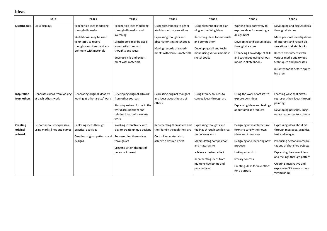#### **Ideas**

|                                        | <b>EYFS</b>                                                   | Year 1                                                                                                                                                        | Year 2                                                                                                                                                                                            | Year 3                                                                                                                                                                           | Year 4                                                                                                                                                                                                                          | Year 5                                                                                                                                                                                                                   | Year 6                                                                                                                                                                                                                                                                               |
|----------------------------------------|---------------------------------------------------------------|---------------------------------------------------------------------------------------------------------------------------------------------------------------|---------------------------------------------------------------------------------------------------------------------------------------------------------------------------------------------------|----------------------------------------------------------------------------------------------------------------------------------------------------------------------------------|---------------------------------------------------------------------------------------------------------------------------------------------------------------------------------------------------------------------------------|--------------------------------------------------------------------------------------------------------------------------------------------------------------------------------------------------------------------------|--------------------------------------------------------------------------------------------------------------------------------------------------------------------------------------------------------------------------------------------------------------------------------------|
| <b>Sketchbooks</b>                     | Class displays                                                | Teacher led idea modelling<br>through discussion<br>Sketchbooks may be used<br>voluntarily to record<br>thoughts and ideas and ex-<br>periment with materials | Teacher led idea modelling<br>through discussion and<br>sketching<br>Sketchbooks may be used<br>voluntarily to record<br>thoughts and ideas,<br>develop skills and experi-<br>ment with materials | Using sketchbooks to gener-<br>ate ideas and observations<br>Expressing thoughts and<br>observations in sketchbooks<br>Making records of experi-<br>ments with various materials | Using sketchbooks for plan-<br>ning and refining ideas<br>Recording ideas for materials<br>and composition<br>Developing skill and tech-<br>nique using various media in<br>sketchbooks                                         | Working collaboratively to<br>explore ideas for meeting a<br>design brief<br>Developing and discuss ideas<br>through sketches<br>Enhancing knowledge of skill<br>and technique using various<br>media in sketchbooks     | Developing and discuss ideas<br>through sketches<br>Make personal investigations<br>of interests and record ob-<br>servations in sketchbooks<br>Record experiments with<br>various media and try out<br>techniques and processes<br>in sketchbooks before apply-<br>ing them         |
| Inspiration<br>from others             | Generates ideas from looking<br>at each others work           | Generating original ideas by<br>looking at other artists' work                                                                                                | Developing original artwork<br>from other sources<br>Studying natural forms in the<br>world around them and<br>relating it to their own art-<br>work                                              | Expressing original thoughts<br>and ideas about the art of<br>others                                                                                                             | Using literary sources to<br>convey ideas through art                                                                                                                                                                           | Using the work of artists' to<br>explore own ideas<br>Expressing ideas and feelings<br>about familiar products                                                                                                           | Learning ways that artists<br>represent their ideas through<br>painting<br>Developing personal, imagi-<br>native responses to a theme                                                                                                                                                |
| <b>Creating</b><br>original<br>artwork | Is spontaneously expressive,<br>using marks, lines and curves | Exploring ideas through<br>practical activities<br>Creating original patterns and<br>designs                                                                  | Working instinctively with<br>clay to create unique designs<br>Representing themselves<br>through art<br>Creating art on themes of<br>personal interest                                           | Representing themselves and<br>their family through their art<br>Controlling materials to<br>achieve a desired effect                                                            | Expressing thoughts and<br>feelings through tactile crea-<br>tion of own work<br>Manipulating composition<br>and materials to<br>achieve a desired effect<br>Representing ideas from<br>multiple viewpoints and<br>perspectives | Designing new architectural<br>forms to satisfy their own<br>ideas and intentions<br>Designing and inventing new<br>products<br>Linking artwork to<br>literary sources<br>Creating ideas for inventions<br>for a purpose | Expressing ideas about art<br>through messages, graphics,<br>text and images<br>Producing personal interpre-<br>tations of cherished objects<br>Expressing their own ideas<br>and feelings through pattern<br>Creating imaginative and<br>expressive 3D forms to con-<br>vey meaning |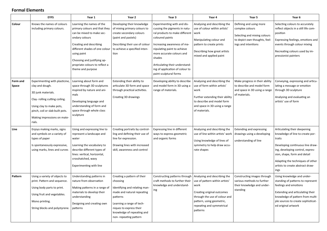#### **Formal Elements**

|                   | <b>EYFS</b>                                                                                                                                                                                                      | Year 1                                                                                                                                                                                                                                                                      | Year 2                                                                                                                                                                                           | Year 3                                                                                                                                                                                                                                                                                                                | Year 4                                                                                                                                                                                                      | Year 5                                                                                                                             | Year 6                                                                                                                                                                                                                                                             |
|-------------------|------------------------------------------------------------------------------------------------------------------------------------------------------------------------------------------------------------------|-----------------------------------------------------------------------------------------------------------------------------------------------------------------------------------------------------------------------------------------------------------------------------|--------------------------------------------------------------------------------------------------------------------------------------------------------------------------------------------------|-----------------------------------------------------------------------------------------------------------------------------------------------------------------------------------------------------------------------------------------------------------------------------------------------------------------------|-------------------------------------------------------------------------------------------------------------------------------------------------------------------------------------------------------------|------------------------------------------------------------------------------------------------------------------------------------|--------------------------------------------------------------------------------------------------------------------------------------------------------------------------------------------------------------------------------------------------------------------|
| Colour            | Knows the names of colours<br>including primary colours.                                                                                                                                                         | Learning the names of the<br>primary colours and that they<br>can be mixed to make sec-<br>ondary colours<br>Creating and describing<br>different shades of one colour<br>using paint<br>Choosing and justifying ap-<br>propriate colours to reflect a<br>theme and purpose | Developing their knowledge<br>of mixing primary colours to<br>create secondary colours<br>(paint and pastels)<br>Describing their use of colour<br>to achieve a specified inten-<br>tion         | Experimenting with and dis-<br>cussing the pigments in natu-<br>ral products to make different<br>coloured paints<br>Increasing awareness of ma-<br>nipulating paint to achieve<br>more accurate colours and<br>shades<br>Articulating their understand-<br>ing of application of colour to<br>paint sculptural forms | Analysing and describing the<br>use of colour within artists'<br>work<br>Manipulating colour and<br>pattern to create prints<br>Describing how great artists<br>mixed and applied paint                     | Defining and using more<br>complex colours<br>Selecting and mixing colours<br>to depict own thoughts, feel-<br>ings and intentions | Selecting colours to accurately<br>reflect objects in a still life com-<br>position<br>Expressing feelings, emotions and<br>events through colour mixing<br>Recreating colours used by im-<br>pressionist painters                                                 |
| Form and<br>Space | Experimenting with plasticine,<br>clay and dough.<br>3D junk materials.<br>Clay-rolling cutting coiling.<br>Using clay to make pots,<br>pinch, coil or slab built pots.<br>Making impressions on mate-<br>rials. | Learning about form and<br>space through 3D sculptures<br>inspired by nature and ani-<br>mals<br>Developing language and<br>understanding of form and<br>space through whole class<br>sculpture                                                                             | Extending their ability to<br>articulate 3D form and space<br>through practical activities.<br>Creating 3D drawings                                                                              | Developing ability to describe<br>and model form in 3D using a<br>range of materials.                                                                                                                                                                                                                                 | Analysing and describing the<br>use of form within artists'<br>work<br>Further extending their ability<br>to describe and model form<br>and space in 3D using a range<br>of materials.                      | Make progress in their ability<br>to describe and model form<br>and space in 3D using a range<br>of materials.                     | Conveying, expressing and articu-<br>lating a message or emotion<br>through 3D sculpture<br>Analysing and evaluating an<br>artists' use of form                                                                                                                    |
| Line              | Enjoys making marks, signs<br>and symbols on a variety of<br>types of paper<br>Is spontaneously expressive,<br>using marks, lines and curves                                                                     | Using and expressing line to<br>represent a landscape and<br>water<br>Learning the vocabulary to<br>describe different types of<br>lines: vertical, horizontal,<br>crosshatched, wavy<br>Experimenting with line                                                            | Creating portraits by control-<br>ling and defining their use of<br>line for expression.<br>Drawing lines with increased<br>skill, awareness and control                                         | Expressing line in different<br>ways to express geometric<br>and organic forms                                                                                                                                                                                                                                        | Analysing and describing the<br>use of line within artists' work<br>Using knowledge of lines of<br>symmetry to help draw accu-<br>rate shapes                                                               | <b>Extending and expressing</b><br>drawings using a developing<br>understanding of line                                            | Articulating their deepening<br>knowledge of line to create por-<br>traits<br>Developing continuous line draw-<br>ing, developing control, expres-<br>sion, shape, form and detail<br>Adapting the techniques of other<br>artists to create abstract draw-<br>ings |
| Pattern           | Using a variety of objects to<br>print. Pattern and sequence.<br>Using body parts to print.<br>Using fruit and vegetables.<br>Mono printing.<br>String blocks and polystyrene.                                   | Understanding patterns in<br>nature from observation<br>Making patterns in a range of   Identifying and relating man-<br>materials to develop their<br>understanding<br>Designing and creating own<br>patterns                                                              | Creating a pattern of their<br>choosing<br>made and natural repeating<br>patterns<br>Learning a range of tech-<br>niques to express their<br>knowledge of repeating and<br>non-repeating pattern | Constructing patterns through<br>craft methods to further their<br>knowledge and understand-<br>ing                                                                                                                                                                                                                   | Analysing and describing the<br>use of pattern within artists'<br>work<br>Creating original outcomes<br>through the use of colour and<br>pattern, using geometric,<br>repeating and symmetrical<br>patterns | Constructing images through<br>various methods to further<br>their knowledge and under-<br>standing                                | Using knowledge and under-<br>standing of patterns to represent<br>feelings and emotions<br>Extending and articulating their<br>knowledge of pattern from multi-<br>ple sources to create sophisticat-<br>ed original artwork                                      |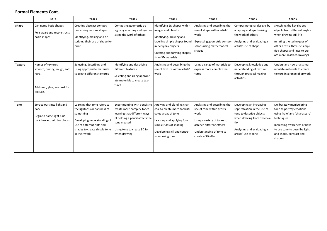|                | <b>Formal Elements Cont</b>                                                                          |                                                                                                                                                                                         |                                                                                                                                                                                               |                                                                                                                                                                                                  |                                                                                                                                                                                   |                                                                                                                                                                                   |                                                                                                                                                                                                                      |
|----------------|------------------------------------------------------------------------------------------------------|-----------------------------------------------------------------------------------------------------------------------------------------------------------------------------------------|-----------------------------------------------------------------------------------------------------------------------------------------------------------------------------------------------|--------------------------------------------------------------------------------------------------------------------------------------------------------------------------------------------------|-----------------------------------------------------------------------------------------------------------------------------------------------------------------------------------|-----------------------------------------------------------------------------------------------------------------------------------------------------------------------------------|----------------------------------------------------------------------------------------------------------------------------------------------------------------------------------------------------------------------|
|                | <b>EYFS</b>                                                                                          | Year 1                                                                                                                                                                                  | Year 2                                                                                                                                                                                        | Year 3                                                                                                                                                                                           | Year 4                                                                                                                                                                            | Year 5                                                                                                                                                                            | Year 6                                                                                                                                                                                                               |
| Shape          | Can name basic shapes<br>Pulls apart and reconstructs<br>basic shapes                                | Creating abstract composi-<br>tions using various shapes<br>Identifying, making and de-<br>scribing their use of shape for<br>print                                                     | Composing geometric de-<br>signs by adapting and synthe-<br>sising the work of others                                                                                                         | Identifying 2D shapes within<br>images and objects<br>Identifying, drawing and<br>labelling simple shapes found<br>in everyday objects<br>Creating and forming shapes<br>from 3D materials       | Analysing and describing the<br>use of shape within artists'<br>work<br>Expressing geometric compo-<br>sitions using mathematical<br>shapes                                       | Composinoriginal designs by<br>adapting and synthesising<br>the work of others<br>Analysing and evaluating an<br>artists' use of shape                                            | Sketching the key shapes<br>objects from different angles<br>when drawing still life<br>mitating the techniques of<br>other artists, they use simpli-<br>fied shapes and lines to cre-<br>ate more abstract drawings |
| <b>Texture</b> | Names of textures<br>smooth, bumpy, rough, soft,<br>hard,<br>Add sand, glue, sawdust for<br>texture. | Selecting, describing and<br>using appropriate materials<br>to create different textures                                                                                                | Identifying and describing<br>different textures<br>Selecting and using appropri-<br>ate materials to create tex-<br>tures                                                                    | Analysing and describing the<br>use of texture within artists<br>work                                                                                                                            | Using a range of materials to<br>express more complex tex-<br>tures                                                                                                               | Developing knowledge and<br>understanding of texture<br>through practical making<br>activities                                                                                    | Understand how artists ma-<br>nipulate materials to create<br>texture in a range of artwork.                                                                                                                         |
| <b>Tone</b>    | Sort colours into light and<br>dark<br>Begin to name light blue,<br>dark blue etc within colours.    | Learning that tone refers to<br>the lightness or darkness of<br>something<br>Developing understanding of<br>use of different tints and<br>shades to create simple tone<br>in their work | Experimenting with pencils to<br>create more complex tones<br>learning that different ways<br>of holding a pencil affects the<br>tone created<br>Using tone to create 3D form<br>when drawing | Applying and blending char-<br>coal to create more sophisti-<br>cated areas of tone<br>Learning and applying four<br>simple rules of shading<br>Developing skill and control<br>when using tone. | Analysing and describing the<br>use of tone within artists'<br>work<br>Using a variety of tones to<br>achieve different effects<br>Understanding of tone to<br>create a 3D effect | Developing an increasing<br>sophistication in the use of<br>tone to describe objects<br>when drawing from observa-<br>tion<br>Analysing and evaluating an<br>artists' use of tone | Deliberately manipulating<br>tone to portray emotions -<br>using 'halo' and 'chiaroscuro'<br>techniques<br>Increasing awareness of how<br>to use tone to describe light<br>and shade, contrast and<br>shadow         |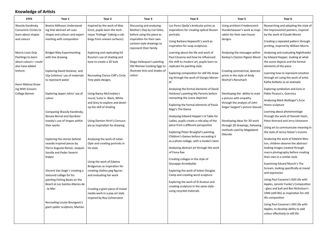## **Knowledge of Artists**

| <b>EYFS</b>                                                                                   | Year 1                                                                                       | Year 2                                                                                          | Year 3                                                                                    | Year 4                                                                                                                                                | Year 5                                                                                           | Year 6                                                                                                                                |
|-----------------------------------------------------------------------------------------------|----------------------------------------------------------------------------------------------|-------------------------------------------------------------------------------------------------|-------------------------------------------------------------------------------------------|-------------------------------------------------------------------------------------------------------------------------------------------------------|--------------------------------------------------------------------------------------------------|---------------------------------------------------------------------------------------------------------------------------------------|
| Wassily Kandinsky<br>Concentric Circles to<br>learn about shapes                              | Beatriz Milhazes Understand-<br>ing that abstract art uses<br>shapes and colours and experi- | Inspired by the work of Max<br>Ernst, pupils learn the tech-<br>nique 'frottage' (taking a rub- | Discussing and analysing<br>Mother's Day by Carl Giles,<br>before using the piece as      | Luz Perez Ojeda's lenticular prints as<br>inspirations for creating optical illusion<br>portraits                                                     | Using architect Friedensreich<br>Hundertwasser's work as inspi-<br>ration for their own house    | Researching and adopting the style of<br>the impressionist painters, inspired<br>by the work of Claude Monet                          |
| and colours                                                                                   | menting with composition                                                                     | bings from uneven surfaces)                                                                     | inspiration for their own<br>cartoon style drawings to<br>represent their family          | Using Barbara Hepworth's work as<br>inspiration for soap sculptures                                                                                   | designs                                                                                          | Creating a repeated pattern through<br>printing, inspired by William Morris                                                           |
| Morris Louis Drip<br>Paintings to learn<br>about colours-could<br>also have added<br>texture. | <b>Bridget Riley Experimenting</b><br>with line drawing<br>Exploring David Hockney and       | Exploring and replicating Ed<br>Ruscha's use of shading and<br>tone to create a 3D look         | Diego Velázquez's painting<br>Old Woman Cooking Eggs to<br>illustrate tints and shades of | Learning about the life and work of<br>Paul Cézanne and how he influenced<br>the shift to modern art, pupils learn to<br>replicate his painting style | Analysing the messages within<br>Banksy's Clacton Pigeon Mural<br>Creating symmetrical, abstract | Analysing and evaluating Nighthawks<br>by Edward Hopper, looking at what<br>the scene depicts and the formal<br>elements of the piece |
| Henri Matisse Draw-                                                                           | Vija Celminss' use of materials<br>to represent water                                        | Recreating Clarice Cliff's Circle<br>Tree plate designs                                         | colour                                                                                    | Exploring composition for still life draw<br>ing through the work of Giorgio Moran<br>di                                                              | prints in the style of Andy<br>Warhol's Rorschach                                                | Learning how to represent emotion<br>through art using the work of artist<br>Kathe Kollwitz as an example                             |
| ing With Scissors                                                                             |                                                                                              |                                                                                                 |                                                                                           | Analysing the formal elements of David                                                                                                                |                                                                                                  | Exploring symbolism and tone in                                                                                                       |
| Collage Banner                                                                                | Exploring Jasper Johns' use of                                                               | Using Nancy McCroskey's                                                                         |                                                                                           | Hockney's painting My Parents before                                                                                                                  | Developing the ability to read                                                                   | Pablo Picasso's, Guernica                                                                                                             |
|                                                                                               | colour                                                                                       | mural, Suite in Black, White<br>and Grey to explore and devel-                                  |                                                                                           | reenacting the scene depicted                                                                                                                         | a picture with empathy<br>through the analysis of John                                           | Analysing Mark Wallinger's Ecce                                                                                                       |
|                                                                                               |                                                                                              | op the skill of shading                                                                         |                                                                                           | Exploring the formal elements of Paula                                                                                                                | Singer Sargent's picture Gassed                                                                  | Homo sculpture                                                                                                                        |
|                                                                                               | Comparing Wassily Kandinsky,                                                                 |                                                                                                 |                                                                                           | Rego's The Dance                                                                                                                                      |                                                                                                  | Learning about photomontage                                                                                                           |
|                                                                                               | Renata Bernal and Ilya Bolo-                                                                 |                                                                                                 |                                                                                           | Analysing Edward Hopper's A Table for                                                                                                                 |                                                                                                  | through the work of Hannah Hoch,                                                                                                      |
|                                                                                               | towsky's use of shapes within                                                                | Using Damien Hirst's Cornuco-                                                                   |                                                                                           | Ladies, pupils create a role-play of the                                                                                                              | Developing ideas for 3D work                                                                     | Peter Kennard and Jerry Uelsmann                                                                                                      |
|                                                                                               | their works                                                                                  | pia as inspiration for drawing                                                                  |                                                                                           | piece from a different perspective                                                                                                                    | through 2D drawings, following                                                                   | Using art to communicate meaning in                                                                                                   |
|                                                                                               |                                                                                              |                                                                                                 |                                                                                           | Exploring Pieter Brueghel's painting,<br>Children's Games before recreating it                                                                        | methods used by Magdalene<br>Odundo                                                              | the style of Jenny Holzer's truisms                                                                                                   |
|                                                                                               | Exploring the stories behind<br>seaside inspired pieces by                                   | Analysing the work of Julian<br>Opie and creating portraits in                                  |                                                                                           | as a photo collage, with a modern twist                                                                                                               |                                                                                                  | Analysing the work of Edward Wes-<br>ton, children observe the abstract-                                                              |
|                                                                                               | Pierre Auguste Renoir, Joaquín                                                               | his style                                                                                       |                                                                                           | Analysing abstract art through the work                                                                                                               |                                                                                                  | looking images created through                                                                                                        |
|                                                                                               | Sorolla and Peder Severin                                                                    |                                                                                                 |                                                                                           | of Fiona Rae                                                                                                                                          |                                                                                                  | macro photography before creating                                                                                                     |
|                                                                                               | Krøyer                                                                                       | Using the work of Edwina                                                                        |                                                                                           | Creating collages in the style of                                                                                                                     |                                                                                                  | their own in a similar style                                                                                                          |
|                                                                                               |                                                                                              | Bridgeman as inspiration for                                                                    |                                                                                           | Giuseppe Arcimboldo                                                                                                                                   |                                                                                                  | Examining Edvard Munch's The                                                                                                          |
|                                                                                               | Vincent Van Gogh > creating a                                                                | creating clothes peg figures                                                                    |                                                                                           | Exploring the work of Sokari Douglas                                                                                                                  |                                                                                                  | Scream, looking specifically at mood<br>and expression                                                                                |
|                                                                                               | textured collage for his                                                                     | and evaluating her work                                                                         |                                                                                           | Camp and creating word sculpture                                                                                                                      |                                                                                                  |                                                                                                                                       |
|                                                                                               | painting Fishing Boats on the                                                                |                                                                                                 |                                                                                           | Exploring the work of El Anatsui and                                                                                                                  |                                                                                                  | Using Paul Cezanne's Still Life with                                                                                                  |
|                                                                                               | Beach at Les Saintes-Maries-de                                                               |                                                                                                 |                                                                                           | creating sculpture in the same style -                                                                                                                |                                                                                                  | Apples, Jaromir Funke's Composition                                                                                                   |
|                                                                                               | - la-Mer                                                                                     | Creating a giant piece of mixed                                                                 |                                                                                           | using recycled materials                                                                                                                              |                                                                                                  | - glass and ball and Ben Nicholson's<br>1946 (still life) as inspiration for still                                                    |
|                                                                                               |                                                                                              | media work in a pop art style<br>inspired by Roy Lichtenstein                                   |                                                                                           |                                                                                                                                                       |                                                                                                  | life composition                                                                                                                      |
|                                                                                               | Recreating Louise Bourgeois's                                                                |                                                                                                 |                                                                                           |                                                                                                                                                       |                                                                                                  | Using Paul Cezanne's Still Life with                                                                                                  |
|                                                                                               | giant spider sculpture, Maman                                                                |                                                                                                 |                                                                                           |                                                                                                                                                       |                                                                                                  | Apples, to develop ability to add                                                                                                     |
|                                                                                               |                                                                                              |                                                                                                 |                                                                                           |                                                                                                                                                       |                                                                                                  | colour effectively to still life                                                                                                      |
|                                                                                               |                                                                                              |                                                                                                 |                                                                                           |                                                                                                                                                       |                                                                                                  |                                                                                                                                       |
|                                                                                               |                                                                                              |                                                                                                 |                                                                                           |                                                                                                                                                       |                                                                                                  |                                                                                                                                       |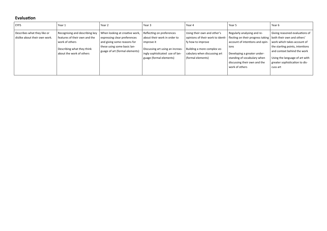### **Evaluation**

| <b>EYFS</b>                                                  | Year 1                                                                                                                                      | Year 2                                                                                                                                                         | Year 3                                                                                                                                                                    | Year 4                                                                                                                                                                    | Year 5                                                                                                                                                                                                                                                   | Year 6                                                                                                                                                                                                          |
|--------------------------------------------------------------|---------------------------------------------------------------------------------------------------------------------------------------------|----------------------------------------------------------------------------------------------------------------------------------------------------------------|---------------------------------------------------------------------------------------------------------------------------------------------------------------------------|---------------------------------------------------------------------------------------------------------------------------------------------------------------------------|----------------------------------------------------------------------------------------------------------------------------------------------------------------------------------------------------------------------------------------------------------|-----------------------------------------------------------------------------------------------------------------------------------------------------------------------------------------------------------------|
| Describes what they like or<br>dislike about their own work. | Recognising and describing key<br>features of their own and the<br>work of others<br>Describing what they think<br>about the work of others | When looking at creative work,<br>expressing clear preferences<br>and giving some reasons for<br>these using some basic lan-<br>guage of art (formal elements) | Reflecting on preferences<br>about their work in order to<br>improve it<br>Discussing art using an increas-<br>ingly sophisticated use of lan-<br>guage (formal elements) | Using their own and other's<br>opinions of their work to identi-<br>fy how to improve<br>Building a more complex vo-<br>cabulary when discussing art<br>(formal elements) | Regularly analysing and re-<br>flecting on their progress taking   both their own and others'<br>account of intentions and opin-<br>ions<br>Developing a greater under-<br>standing of vocabulary when<br>discussing their own and the<br>work of others | Giving reasoned evaluations of<br>work which takes account of<br>the starting points, intentions<br>and context behind the work<br>Using the language of art with<br>greater sophistication to dis-<br>cuss art |